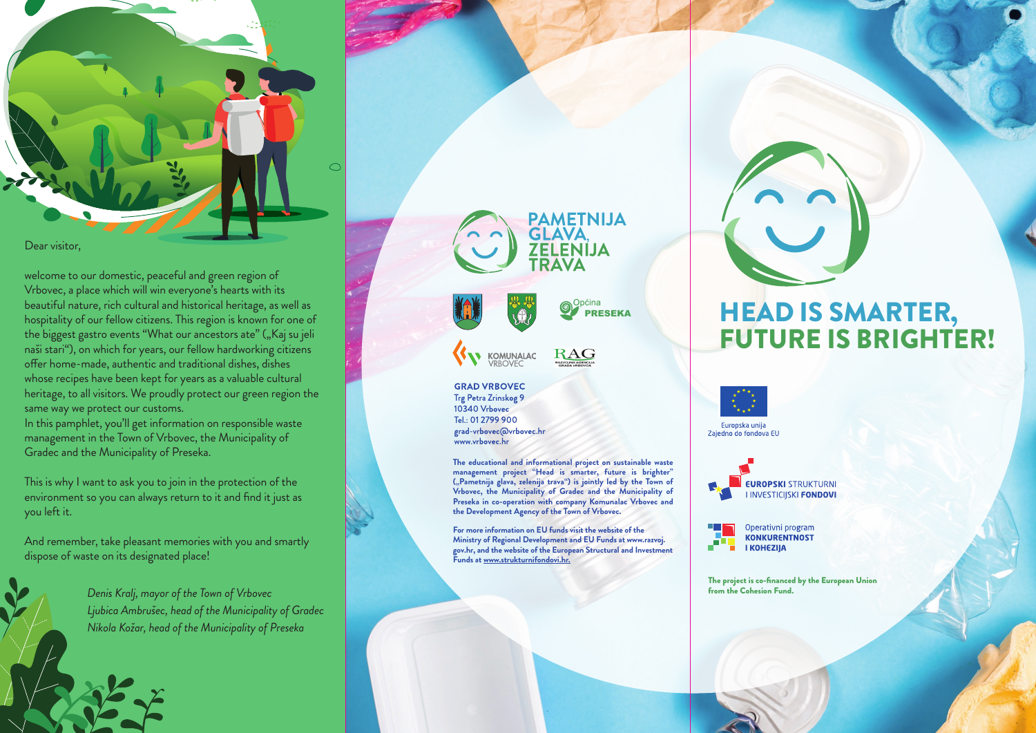

welcome to our domestic, peaceful and green region of Vrbovec, a place which will win everyone's hearts with its beautiful nature, rich cultural and historical heritage, as well as hospitality of our fellow citizens. This region is known for one of the biggest gastro events "What our ancestors ate" ("Kaj su jeli naši stari"), on which for years, our fellow hardworking citizens offer home-made, authentic and traditional dishes, dishes whose recipes have been kept for years as a valuable cultural heritage, to all visitors. We proudly protect our green region the same way we protect our customs.

In this pamphlet, you'll get information on responsible waste management in the Town of Vrbovec, the Municipality of Gradec and the Municipality of Preseka.

This is why I want to ask you to join in the protection of the environment so you can always return to it and find it just as you left it.

And remember, take pleasant memories with you and smartly dispose of waste on its designated place!

> *Denis Kralj, mayor of the Town of Vrbovec Ljubica Ambrušec, head of the Municipality of Gradec Nikola Kožar, head of the Municipality of Preseka*



**GRAD VRBOVEC** Trg Petra Zrinskog 9 10340 Vrbovec Tel.: 01 2799 900 grad-vrbovec@vrbovec.hr www.vrbovec.hr

**The educational and informational project on sustainable waste management project "Head is smarter, future is brighter" ("Pametnija glava, zelenija trava") is jointly led by the Town of Vrbovec, the Municipality of Gradec and the Municipality of Preseka in co-operation with company Komunalac Vrbovec and the Development Agency of the Town of Vrbovec.**

**For more information on EU funds visit the website of the Ministry of Regional Development and EU Funds at www.razvoj. gov.hr, and the website of the European Structural and Investment Funds at www.strukturnifondovi.hr.**

# HEAD IS SMARTER, FUTURE IS BRIGHTER!

Europska unija Zaiedno do fondova EU

> **EUROPSKI STRUKTURNI I INVESTICIISKI FONDOVI**

Operativni program **KONKURENTNOST I KOHEZIJA** 

The project is co-financed by the European Union from the Cohesion Fund.